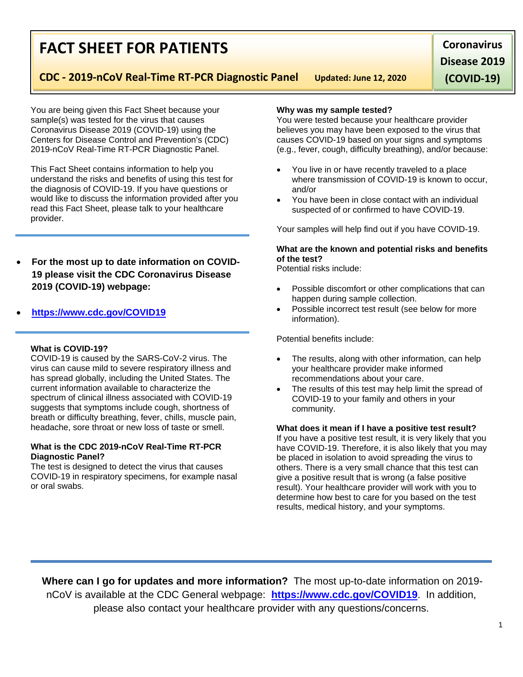## **FACT SHEET FOR PATIENTS**

**CDC - 2019-nCoV Real-Time RT-PCR Diagnostic Panel Updated: June 12, 2020**

**Coronavirus Disease 2019** 

**(COVID-19)**

You are being given this Fact Sheet because your sample(s) was tested for the virus that causes Coronavirus Disease 2019 (COVID-19) using the Centers for Disease Control and Prevention's (CDC) 2019-nCoV Real-Time RT-PCR Diagnostic Panel.

This Fact Sheet contains information to help you understand the risks and benefits of using this test for the diagnosis of COVID-19. If you have questions or would like to discuss the information provided after you read this Fact Sheet, please talk to your healthcare provider.

• **For the most up to date information on COVID-19 please visit the CDC Coronavirus Disease 2019 (COVID-19) webpage:** 

### • **[https://www.cdc.gov/COVID19](https://www.cdc.gov/nCoV)**

#### **What is COVID-19?**

COVID-19 is caused by the SARS-CoV-2 virus. The virus can cause mild to severe respiratory illness and has spread globally, including the United States. The current information available to characterize the spectrum of clinical illness associated with COVID-19 suggests that symptoms include cough, shortness of breath or difficulty breathing, fever, chills, muscle pain, headache, sore throat or new loss of taste or smell.

#### **What is the CDC 2019-nCoV Real-Time RT-PCR Diagnostic Panel?**

The test is designed to detect the virus that causes COVID-19 in respiratory specimens, for example nasal or oral swabs.

#### **Why was my sample tested?**

You were tested because your healthcare provider believes you may have been exposed to the virus that causes COVID-19 based on your signs and symptoms (e.g., fever, cough, difficulty breathing), and/or because:

- You live in or have recently traveled to a place where transmission of COVID-19 is known to occur, and/or
- You have been in close contact with an individual suspected of or confirmed to have COVID-19.

Your samples will help find out if you have COVID-19.

#### **What are the known and potential risks and benefits of the test?**

Potential risks include:

- Possible discomfort or other complications that can happen during sample collection.
- Possible incorrect test result (see below for more information).

Potential benefits include:

- The results, along with other information, can help your healthcare provider make informed recommendations about your care.
- The results of this test may help limit the spread of COVID-19 to your family and others in your community.

**What does it mean if I have a positive test result?** If you have a positive test result, it is very likely that you have COVID-19. Therefore, it is also likely that you may be placed in isolation to avoid spreading the virus to others. There is a very small chance that this test can give a positive result that is wrong (a false positive result). Your healthcare provider will work with you to determine how best to care for you based on the test results, medical history, and your symptoms.

**Where can I go for updates and more information?** The most up-to-date information on 2019 nCoV is available at the CDC General webpage: **<https://www.cdc.gov/COVID19>**. In addition, please also contact your healthcare provider with any questions/concerns.